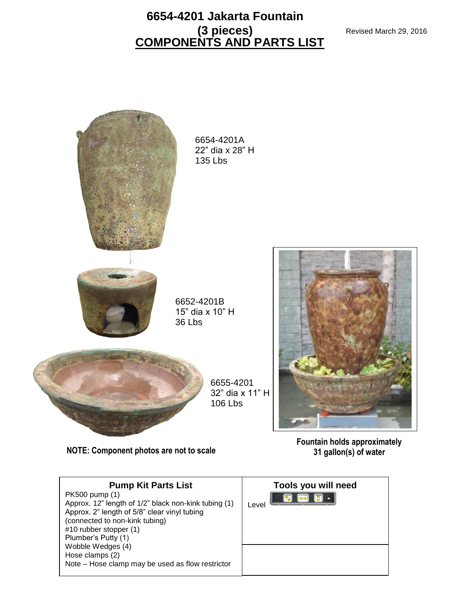### **COMPONENTS AND PARTS LIST 6654-4201 Jakarta Fountain (3 pieces)**



**NOTE: Component photos are not to scale 31 gallon(s) of water**

**Pump Kit Parts List**  PK500 pump (1) Approx. 12" length of 1/2" black non-kink tubing (1) Approx. 2" length of 5/8" clear vinyl tubing (connected to non-kink tubing) #10 rubber stopper (1) Plumber's Putty (1) Wobble Wedges (4) Hose clamps (2) Note – Hose clamp may be used as flow restrictor **Tools you will need**<br>**B E B** · Level